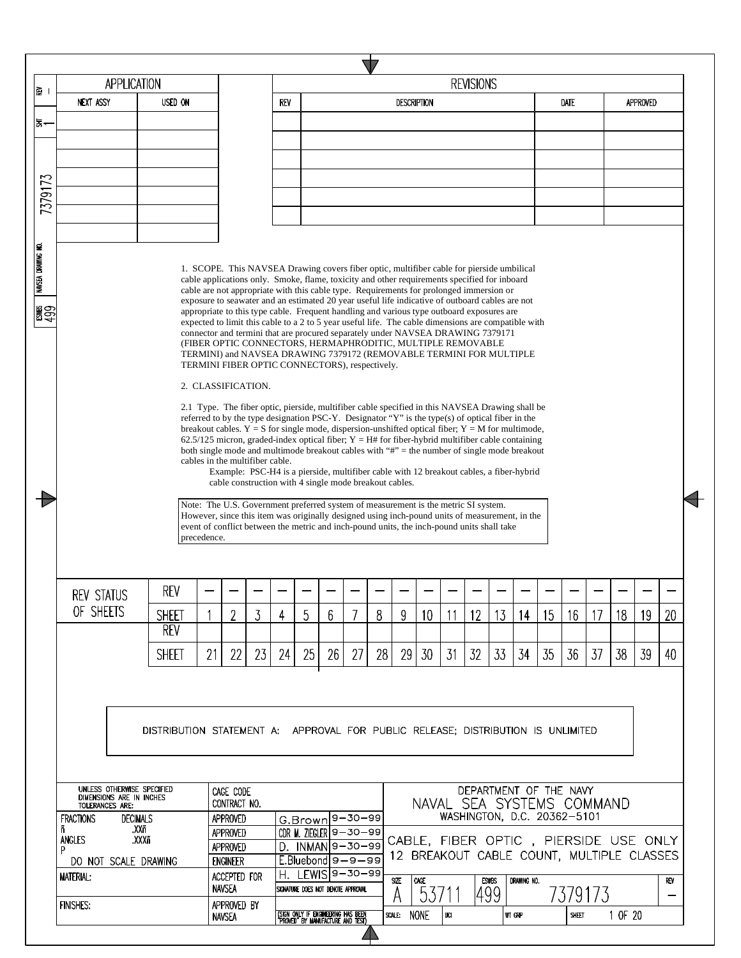| 의                  | APPLICATION                                                                                                              |                                                                                  |             |                                                |                                                       |     |    |                                                                         |                                                                                                                                                                                                                                                                                                                                                                                                                                                                                                                                                                                                                                                                                                                                                                                                                                                                                                                                                                                                                                                                                                                                                                                                                                                                                                                                                                                                                                                                                                                                                                                                                                                                                                                                                                                                                                        |    |                  |                    |     | <b>REVISIONS</b> |                 |                                                                                    |    |       |         |         |          |     |  |
|--------------------|--------------------------------------------------------------------------------------------------------------------------|----------------------------------------------------------------------------------|-------------|------------------------------------------------|-------------------------------------------------------|-----|----|-------------------------------------------------------------------------|----------------------------------------------------------------------------------------------------------------------------------------------------------------------------------------------------------------------------------------------------------------------------------------------------------------------------------------------------------------------------------------------------------------------------------------------------------------------------------------------------------------------------------------------------------------------------------------------------------------------------------------------------------------------------------------------------------------------------------------------------------------------------------------------------------------------------------------------------------------------------------------------------------------------------------------------------------------------------------------------------------------------------------------------------------------------------------------------------------------------------------------------------------------------------------------------------------------------------------------------------------------------------------------------------------------------------------------------------------------------------------------------------------------------------------------------------------------------------------------------------------------------------------------------------------------------------------------------------------------------------------------------------------------------------------------------------------------------------------------------------------------------------------------------------------------------------------------|----|------------------|--------------------|-----|------------------|-----------------|------------------------------------------------------------------------------------|----|-------|---------|---------|----------|-----|--|
|                    | <b>NEXT ASSY</b>                                                                                                         | USED ON                                                                          |             |                                                |                                                       | REV |    |                                                                         |                                                                                                                                                                                                                                                                                                                                                                                                                                                                                                                                                                                                                                                                                                                                                                                                                                                                                                                                                                                                                                                                                                                                                                                                                                                                                                                                                                                                                                                                                                                                                                                                                                                                                                                                                                                                                                        |    |                  | <b>DESCRIPTION</b> |     |                  |                 |                                                                                    |    | Date  |         |         | APPROVED |     |  |
| 1동~                |                                                                                                                          |                                                                                  |             |                                                |                                                       |     |    |                                                                         |                                                                                                                                                                                                                                                                                                                                                                                                                                                                                                                                                                                                                                                                                                                                                                                                                                                                                                                                                                                                                                                                                                                                                                                                                                                                                                                                                                                                                                                                                                                                                                                                                                                                                                                                                                                                                                        |    |                  |                    |     |                  |                 |                                                                                    |    |       |         |         |          |     |  |
|                    |                                                                                                                          |                                                                                  |             |                                                |                                                       |     |    |                                                                         |                                                                                                                                                                                                                                                                                                                                                                                                                                                                                                                                                                                                                                                                                                                                                                                                                                                                                                                                                                                                                                                                                                                                                                                                                                                                                                                                                                                                                                                                                                                                                                                                                                                                                                                                                                                                                                        |    |                  |                    |     |                  |                 |                                                                                    |    |       |         |         |          |     |  |
|                    |                                                                                                                          |                                                                                  |             |                                                |                                                       |     |    |                                                                         |                                                                                                                                                                                                                                                                                                                                                                                                                                                                                                                                                                                                                                                                                                                                                                                                                                                                                                                                                                                                                                                                                                                                                                                                                                                                                                                                                                                                                                                                                                                                                                                                                                                                                                                                                                                                                                        |    |                  |                    |     |                  |                 |                                                                                    |    |       |         |         |          |     |  |
| 7379173            |                                                                                                                          |                                                                                  |             |                                                |                                                       |     |    |                                                                         |                                                                                                                                                                                                                                                                                                                                                                                                                                                                                                                                                                                                                                                                                                                                                                                                                                                                                                                                                                                                                                                                                                                                                                                                                                                                                                                                                                                                                                                                                                                                                                                                                                                                                                                                                                                                                                        |    |                  |                    |     |                  |                 |                                                                                    |    |       |         |         |          |     |  |
|                    |                                                                                                                          |                                                                                  |             |                                                |                                                       |     |    |                                                                         |                                                                                                                                                                                                                                                                                                                                                                                                                                                                                                                                                                                                                                                                                                                                                                                                                                                                                                                                                                                                                                                                                                                                                                                                                                                                                                                                                                                                                                                                                                                                                                                                                                                                                                                                                                                                                                        |    |                  |                    |     |                  |                 |                                                                                    |    |       |         |         |          |     |  |
|                    |                                                                                                                          |                                                                                  |             |                                                |                                                       |     |    |                                                                         |                                                                                                                                                                                                                                                                                                                                                                                                                                                                                                                                                                                                                                                                                                                                                                                                                                                                                                                                                                                                                                                                                                                                                                                                                                                                                                                                                                                                                                                                                                                                                                                                                                                                                                                                                                                                                                        |    |                  |                    |     |                  |                 |                                                                                    |    |       |         |         |          |     |  |
| NAVSEA DRAWING NO. |                                                                                                                          |                                                                                  | precedence. |                                                | 2. CLASSIFICATION.<br>cables in the multifiber cable. |     |    |                                                                         | 1. SCOPE. This NAVSEA Drawing covers fiber optic, multifiber cable for pierside umbilical<br>cable applications only. Smoke, flame, toxicity and other requirements specified for inboard<br>cable are not appropriate with this cable type. Requirements for prolonged immersion or<br>exposure to seawater and an estimated 20 year useful life indicative of outboard cables are not<br>appropriate to this type cable. Frequent handling and various type outboard exposures are<br>expected to limit this cable to a 2 to 5 year useful life. The cable dimensions are compatible with<br>connector and termini that are procured separately under NAVSEA DRAWING 7379171<br>(FIBER OPTIC CONNECTORS, HERMAPHRODITIC, MULTIPLE REMOVABLE<br>TERMINI) and NAVSEA DRAWING 7379172 (REMOVABLE TERMINI FOR MULTIPLE<br>TERMINI FIBER OPTIC CONNECTORS), respectively.<br>2.1 Type. The fiber optic, pierside, multifiber cable specified in this NAVSEA Drawing shall be<br>referred to by the type designation PSC-Y. Designator "Y" is the type(s) of optical fiber in the<br>breakout cables. $Y = S$ for single mode, dispersion-unshifted optical fiber; $Y = M$ for multimode,<br>62.5/125 micron, graded-index optical fiber; $Y = H#$ for fiber-hybrid multifiber cable containing<br>both single mode and multimode breakout cables with "#" = the number of single mode breakout<br>Example: PSC-H4 is a pierside, multifiber cable with 12 breakout cables, a fiber-hybrid<br>cable construction with 4 single mode breakout cables.<br>Note: The U.S. Government preferred system of measurement is the metric SI system.<br>However, since this item was originally designed using inch-pound units of measurement, in the<br>event of conflict between the metric and inch-pound units, the inch-pound units shall take |    |                  |                    |     |                  |                 |                                                                                    |    |       |         |         |          |     |  |
|                    | <b>REV STATUS</b>                                                                                                        | REV                                                                              |             |                                                |                                                       |     |    |                                                                         |                                                                                                                                                                                                                                                                                                                                                                                                                                                                                                                                                                                                                                                                                                                                                                                                                                                                                                                                                                                                                                                                                                                                                                                                                                                                                                                                                                                                                                                                                                                                                                                                                                                                                                                                                                                                                                        |    |                  |                    |     |                  |                 |                                                                                    |    |       |         |         |          |     |  |
|                    | OF SHEETS                                                                                                                | <b>SHEET</b>                                                                     |             | $\overline{2}$                                 | 3                                                     | 4   | 5  | 6                                                                       |                                                                                                                                                                                                                                                                                                                                                                                                                                                                                                                                                                                                                                                                                                                                                                                                                                                                                                                                                                                                                                                                                                                                                                                                                                                                                                                                                                                                                                                                                                                                                                                                                                                                                                                                                                                                                                        | 8  | 9                | 10                 | -11 | 12               | 13 <sup>2</sup> | 14                                                                                 | 15 | 16    | 17      | 18      | 19       | 20  |  |
|                    |                                                                                                                          | <b>REV</b>                                                                       |             |                                                |                                                       |     |    |                                                                         |                                                                                                                                                                                                                                                                                                                                                                                                                                                                                                                                                                                                                                                                                                                                                                                                                                                                                                                                                                                                                                                                                                                                                                                                                                                                                                                                                                                                                                                                                                                                                                                                                                                                                                                                                                                                                                        |    |                  |                    |     |                  |                 |                                                                                    |    |       |         |         |          |     |  |
|                    |                                                                                                                          | <b>SHEET</b>                                                                     | 21          | 22                                             | 23                                                    | 24  | 25 | 26                                                                      | 27                                                                                                                                                                                                                                                                                                                                                                                                                                                                                                                                                                                                                                                                                                                                                                                                                                                                                                                                                                                                                                                                                                                                                                                                                                                                                                                                                                                                                                                                                                                                                                                                                                                                                                                                                                                                                                     | 28 | 29               | 30                 | 31  | 32               | 33              | 34                                                                                 | 35 | 36    | 37      | 38      | 39       | 40  |  |
|                    |                                                                                                                          | DISTRIBUTION STATEMENT A: APPROVAL FOR PUBLIC RELEASE: DISTRIBUTION IS UNLIMITED |             |                                                |                                                       |     |    |                                                                         |                                                                                                                                                                                                                                                                                                                                                                                                                                                                                                                                                                                                                                                                                                                                                                                                                                                                                                                                                                                                                                                                                                                                                                                                                                                                                                                                                                                                                                                                                                                                                                                                                                                                                                                                                                                                                                        |    |                  |                    |     |                  |                 |                                                                                    |    |       |         |         |          |     |  |
|                    | UNLESS OTHERWISE SPECIFIED<br>DIMENSIONS ARE IN INCHES<br>TOLERANCES ARE:<br><b>FRACTIONS</b><br><b>DECIMALS</b><br>.XXñ |                                                                                  |             | CAGE CODE<br>CONTRACT NO.<br><b>APPROVED</b>   |                                                       |     |    |                                                                         | G.Brown 9-30-99                                                                                                                                                                                                                                                                                                                                                                                                                                                                                                                                                                                                                                                                                                                                                                                                                                                                                                                                                                                                                                                                                                                                                                                                                                                                                                                                                                                                                                                                                                                                                                                                                                                                                                                                                                                                                        |    |                  |                    |     |                  |                 | DEPARTMENT OF THE NAVY<br>NAVAL SEA SYSTEMS COMMAND<br>WASHINGTON, D.C. 20362-5101 |    |       |         |         |          |     |  |
|                    | ñ<br>ANGLES<br>.XXXñ<br>P<br>DO NOT SCALE DRAWING                                                                        |                                                                                  |             | APPROVED<br><b>APPROVED</b><br><b>ENGINEER</b> |                                                       |     |    |                                                                         | CDR M. ZIEGLER $9-30-99$<br>$D. \ \overline{\text{NMAN}} 9-30-99$<br>$E.$ Bluebond $9 - 9 - 99$                                                                                                                                                                                                                                                                                                                                                                                                                                                                                                                                                                                                                                                                                                                                                                                                                                                                                                                                                                                                                                                                                                                                                                                                                                                                                                                                                                                                                                                                                                                                                                                                                                                                                                                                        |    |                  |                    |     |                  |                 | CABLE, FIBER OPTIC, PIERSIDE USE ONLY<br>12 BREAKOUT CABLE COUNT, MULTIPLE CLASSES |    |       |         |         |          |     |  |
|                    | <b>MATERIAL:</b>                                                                                                         |                                                                                  |             | ACCEPTED FOR<br><b>NAVSEA</b>                  |                                                       |     |    | SIGNATURE DOES NOT DENOTE APPROVAL                                      | H. LEWIS 9-30-99                                                                                                                                                                                                                                                                                                                                                                                                                                                                                                                                                                                                                                                                                                                                                                                                                                                                                                                                                                                                                                                                                                                                                                                                                                                                                                                                                                                                                                                                                                                                                                                                                                                                                                                                                                                                                       |    | SIZE             | CAGE               |     |                  | <b>ESWBS</b>    | DRAWING NO.                                                                        |    |       |         |         |          | REV |  |
|                    | <b>FINISHES:</b>                                                                                                         |                                                                                  |             | APPROVED BY<br><b>NAVSEA</b>                   |                                                       |     |    | (SIGN ONLY IF ENGINEERING HAS BEEN<br>"PROVED" BY MANUFACTURE AND TEST) |                                                                                                                                                                                                                                                                                                                                                                                                                                                                                                                                                                                                                                                                                                                                                                                                                                                                                                                                                                                                                                                                                                                                                                                                                                                                                                                                                                                                                                                                                                                                                                                                                                                                                                                                                                                                                                        |    | A<br>SCALE: NONE | 5371               | UCI |                  | 1499            | WT GRP                                                                             |    | SHEET | 7379173 | 1 OF 20 |          | —   |  |

 $\sqrt{2}$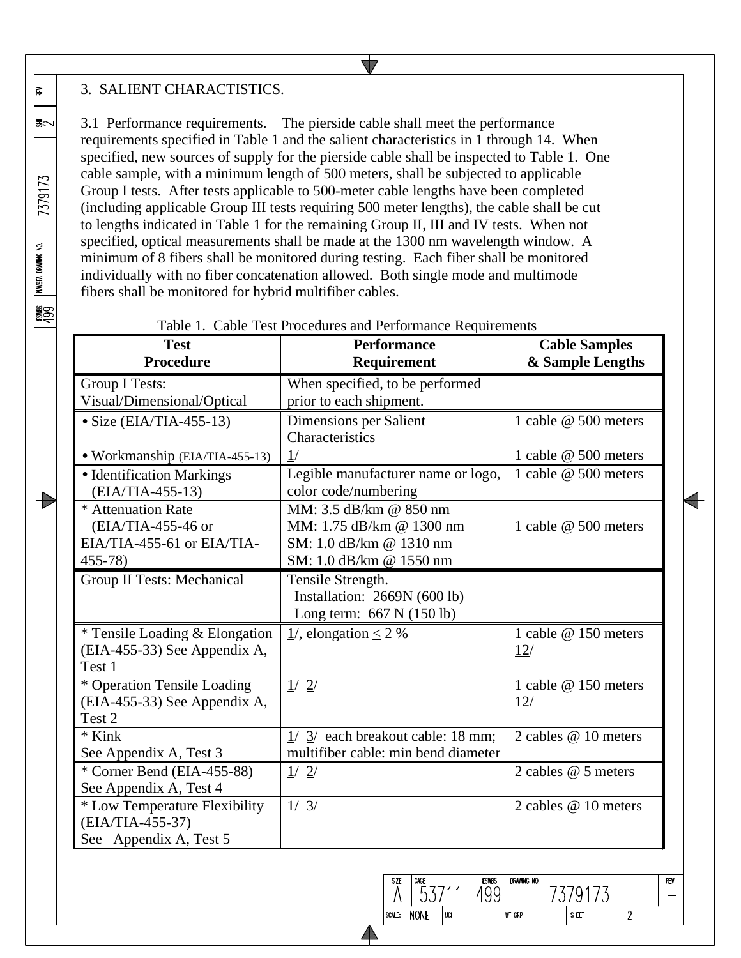## 3. SALIENT CHARACTISTICS.

∣ छ∥

l≅∽

7379173

NAVSEA DRAWING NO.

**1999** 

15

3.1 Performance requirements. The pierside cable shall meet the performance requirements specified in Table 1 and the salient characteristics in 1 through 14. When specified, new sources of supply for the pierside cable shall be inspected to Table 1. One cable sample, with a minimum length of 500 meters, shall be subjected to applicable Group I tests. After tests applicable to 500-meter cable lengths have been completed (including applicable Group III tests requiring 500 meter lengths), the cable shall be cut to lengths indicated in Table 1 for the remaining Group II, III and IV tests. When not specified, optical measurements shall be made at the 1300 nm wavelength window. A minimum of 8 fibers shall be monitored during testing. Each fiber shall be monitored individually with no fiber concatenation allowed. Both single mode and multimode fibers shall be monitored for hybrid multifiber cables.

 $\blacktriangledown$ 

| <b>Test</b><br><b>Procedure</b>                                                         | <b>Performance</b><br>Requirement                                                                        | <b>Cable Samples</b><br>& Sample Lengths |
|-----------------------------------------------------------------------------------------|----------------------------------------------------------------------------------------------------------|------------------------------------------|
| <b>Group I Tests:</b><br>Visual/Dimensional/Optical                                     | When specified, to be performed<br>prior to each shipment.                                               |                                          |
| $\bullet$ Size (EIA/TIA-455-13)                                                         | Dimensions per Salient<br>Characteristics                                                                | 1 cable @ 500 meters                     |
| • Workmanship (EIA/TIA-455-13)                                                          | 1/                                                                                                       | 1 cable @ 500 meters                     |
| • Identification Markings<br>(EIA/TIA-455-13)                                           | Legible manufacturer name or logo,<br>color code/numbering                                               | 1 cable @ 500 meters                     |
| * Attenuation Rate<br>$(EIA/TIA-455-46)$ or<br>EIA/TIA-455-61 or EIA/TIA-<br>$455 - 78$ | MM: 3.5 dB/km @ 850 nm<br>MM: 1.75 dB/km @ 1300 nm<br>SM: 1.0 dB/km @ 1310 nm<br>SM: 1.0 dB/km @ 1550 nm | 1 cable @ 500 meters                     |
| Group II Tests: Mechanical                                                              | Tensile Strength.<br>Installation: 2669N (600 lb)<br>Long term: $667$ N $(150$ lb)                       |                                          |
| * Tensile Loading & Elongation<br>(EIA-455-33) See Appendix A,<br>Test 1                | $\frac{1}{2}$ , elongation $\leq 2$ %                                                                    | 1 cable @ 150 meters<br>12/              |
| * Operation Tensile Loading<br>(EIA-455-33) See Appendix A,<br>Test 2                   | 1/2/                                                                                                     | 1 cable @ 150 meters<br>12/              |
| $*$ Kink<br>See Appendix A, Test 3                                                      | $1/3$ each breakout cable: 18 mm;<br>multifiber cable: min bend diameter                                 | 2 cables @ 10 meters                     |
| * Corner Bend (EIA-455-88)<br>See Appendix A, Test 4                                    | $\frac{1}{2}$                                                                                            | 2 cables @ 5 meters                      |
| * Low Temperature Flexibility<br>(EIA/TIA-455-37)<br>See Appendix A, Test 5             | 1/3/                                                                                                     | 2 cables @ 10 meters                     |

#### Table 1. Cable Test Procedures and Performance Requirements

DRAWING NO. **ESWBS** SIZE  $CAGE$ REV 53711 1499 7379173 A  $\frac{1}{2}$ SCALE: NONE lua WT GRP SHEET  $\overline{2}$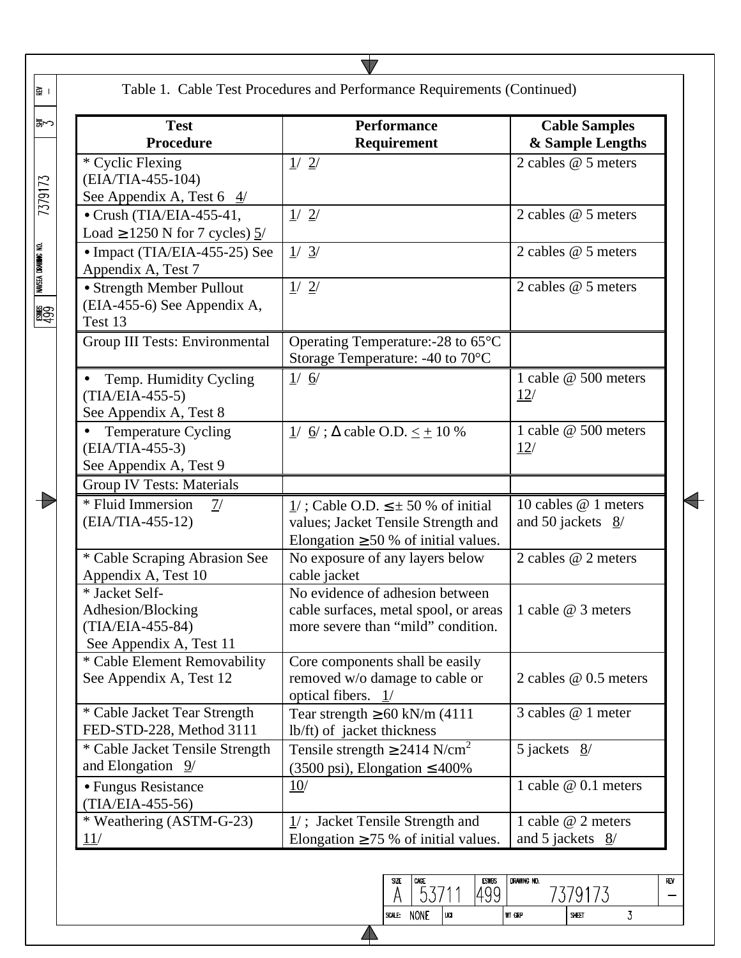|                                                                                    | Table 1. Cable Test Procedures and Performance Requirements (Continued)                                                          |                                                      |
|------------------------------------------------------------------------------------|----------------------------------------------------------------------------------------------------------------------------------|------------------------------------------------------|
| <b>Test</b><br><b>Procedure</b>                                                    | <b>Performance</b><br>Requirement                                                                                                | <b>Cable Samples</b><br>& Sample Lengths             |
| * Cyclic Flexing<br>(EIA/TIA-455-104)<br>See Appendix A, Test 6 $4/$               | 1/2/                                                                                                                             | 2 cables @ 5 meters                                  |
| $\bullet$ Crush (TIA/EIA-455-41,<br>Load $\geq$ 1250 N for 7 cycles) $\frac{5}{ }$ | 1/2/                                                                                                                             | 2 cables $@5$ meters                                 |
| • Impact (TIA/EIA-455-25) See<br>Appendix A, Test 7                                | 1/3/                                                                                                                             | 2 cables $@5$ meters                                 |
| • Strength Member Pullout<br>(EIA-455-6) See Appendix A,<br>Test 13                | 1/2/                                                                                                                             | 2 cables @ 5 meters                                  |
| <b>Group III Tests: Environmental</b>                                              | Operating Temperature:-28 to 65°C<br>Storage Temperature: -40 to 70°C                                                            |                                                      |
| Temp. Humidity Cycling<br>$(TIA/ELA-455-5)$<br>See Appendix A, Test 8              | 1/6/                                                                                                                             | 1 cable @ 500 meters<br>12/                          |
| Temperature Cycling<br>(EIA/TIA-455-3)<br>See Appendix A, Test 9                   | $1/$ 6/; $\Delta$ cable O.D. $\leq \pm 10$ %                                                                                     | 1 cable @ 500 meters<br>12/                          |
| <b>Group IV Tests: Materials</b>                                                   |                                                                                                                                  |                                                      |
| * Fluid Immersion<br>7/<br>(EIA/TIA-455-12)                                        | $1/$ ; Cable O.D. $\leq \pm 50$ % of initial<br>values; Jacket Tensile Strength and<br>Elongation $\geq$ 50 % of initial values. | 10 cables @ 1 meters<br>and 50 jackets $\frac{8}{2}$ |
| * Cable Scraping Abrasion See<br>Appendix A, Test 10                               | No exposure of any layers below<br>cable jacket                                                                                  | 2 cables @ 2 meters                                  |
| * Jacket Self-<br>Adhesion/Blocking<br>(TIA/EIA-455-84)<br>See Appendix A, Test 11 | No evidence of adhesion between<br>cable surfaces, metal spool, or areas<br>more severe than "mild" condition.                   | 1 cable @ 3 meters                                   |
| * Cable Element Removability<br>See Appendix A, Test 12                            | Core components shall be easily<br>removed w/o damage to cable or<br>optical fibers. $1/$                                        | 2 cables @ 0.5 meters                                |
| * Cable Jacket Tear Strength<br>FED-STD-228, Method 3111                           | Tear strength $\geq 60$ kN/m (4111)<br>lb/ft) of jacket thickness                                                                | 3 cables @ 1 meter                                   |
| * Cable Jacket Tensile Strength<br>and Elongation $9/$                             | Tensile strength $\geq$ 2414 N/cm <sup>2</sup><br>$(3500 \text{ psi})$ , Elongation $\leq 400\%$                                 | 5 jackets $8/$                                       |
| • Fungus Resistance<br>(TIA/EIA-455-56)                                            | 10/                                                                                                                              | 1 cable @ 0.1 meters                                 |
| * Weathering (ASTM-G-23)                                                           | $1/$ ; Jacket Tensile Strength and<br>Elongation $\geq$ 75 % of initial values.                                                  | 1 cable @ 2 meters<br>and 5 jackets $8/$             |

| <b>SCALE:</b><br>ı | <b>NONE</b> | m |
|--------------------|-------------|---|
|                    |             |   |

 $\blacktriangle$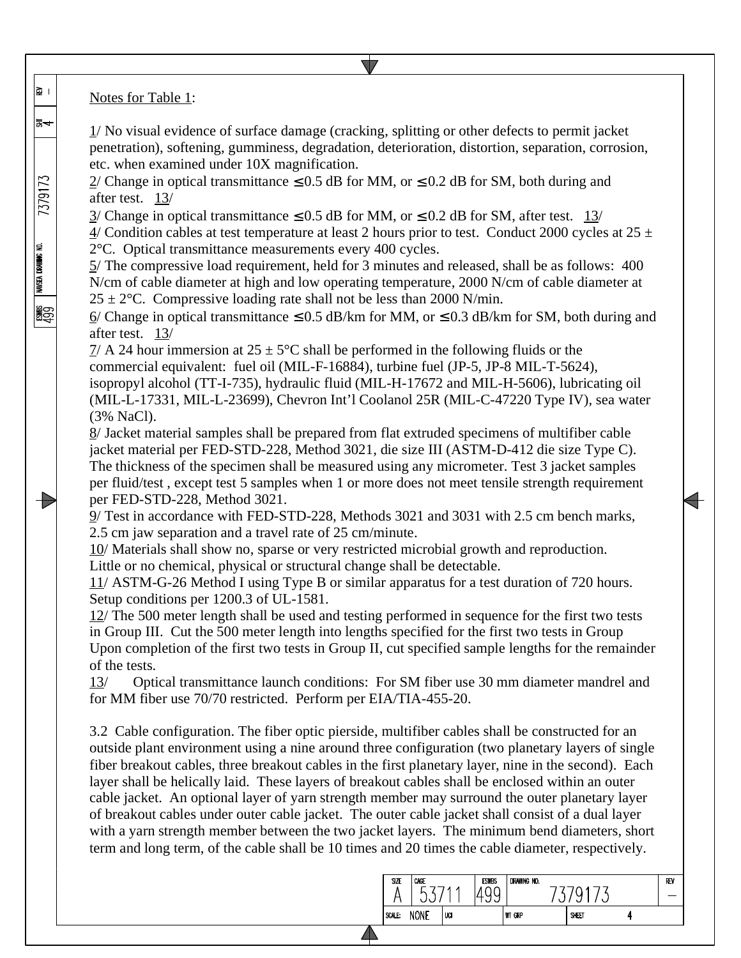Notes for Table 1:

∣ ⊠

동수

7379173

NAVSEA DRAWING NO.

**1999** 

Ð

1/ No visual evidence of surface damage (cracking, splitting or other defects to permit jacket penetration), softening, gumminess, degradation, deterioration, distortion, separation, corrosion, etc. when examined under 10X magnification.

 $2/$  Change in optical transmittance  $\leq 0.5$  dB for MM, or  $\leq 0.2$  dB for SM, both during and after test. 13/

 $3/$  Change in optical transmittance  $\leq 0.5$  dB for MM, or  $\leq 0.2$  dB for SM, after test. 13/

 $\frac{4}{2}$  Condition cables at test temperature at least 2 hours prior to test. Conduct 2000 cycles at 25  $\pm$ 2°C. Optical transmittance measurements every 400 cycles.

5/ The compressive load requirement, held for 3 minutes and released, shall be as follows: 400 N/cm of cable diameter at high and low operating temperature, 2000 N/cm of cable diameter at  $25 \pm 2$ °C. Compressive loading rate shall not be less than 2000 N/min.

6/ Change in optical transmittance  $\leq$  0.5 dB/km for MM, or  $\leq$  0.3 dB/km for SM, both during and after test. 13/

 $7/$  A 24 hour immersion at  $25 \pm 5^{\circ}$ C shall be performed in the following fluids or the commercial equivalent: fuel oil (MIL-F-16884), turbine fuel (JP-5, JP-8 MIL-T-5624), isopropyl alcohol (TT-I-735), hydraulic fluid (MIL-H-17672 and MIL-H-5606), lubricating oil (MIL-L-17331, MIL-L-23699), Chevron Int'l Coolanol 25R (MIL-C-47220 Type IV), sea water (3% NaCl).

8/ Jacket material samples shall be prepared from flat extruded specimens of multifiber cable jacket material per FED-STD-228, Method 3021, die size III (ASTM-D-412 die size Type C). The thickness of the specimen shall be measured using any micrometer. Test 3 jacket samples per fluid/test , except test 5 samples when 1 or more does not meet tensile strength requirement per FED-STD-228, Method 3021.

9/ Test in accordance with FED-STD-228, Methods 3021 and 3031 with 2.5 cm bench marks, 2.5 cm jaw separation and a travel rate of 25 cm/minute.

10/ Materials shall show no, sparse or very restricted microbial growth and reproduction. Little or no chemical, physical or structural change shall be detectable.

11/ ASTM-G-26 Method I using Type B or similar apparatus for a test duration of 720 hours. Setup conditions per 1200.3 of UL-1581.

12/ The 500 meter length shall be used and testing performed in sequence for the first two tests in Group III. Cut the 500 meter length into lengths specified for the first two tests in Group Upon completion of the first two tests in Group II, cut specified sample lengths for the remainder of the tests.

13/ Optical transmittance launch conditions: For SM fiber use 30 mm diameter mandrel and for MM fiber use 70/70 restricted. Perform per EIA/TIA-455-20.

3.2 Cable configuration. The fiber optic pierside, multifiber cables shall be constructed for an outside plant environment using a nine around three configuration (two planetary layers of single fiber breakout cables, three breakout cables in the first planetary layer, nine in the second). Each layer shall be helically laid. These layers of breakout cables shall be enclosed within an outer cable jacket. An optional layer of yarn strength member may surround the outer planetary layer of breakout cables under outer cable jacket. The outer cable jacket shall consist of a dual layer with a yarn strength member between the two jacket layers. The minimum bend diameters, short term and long term, of the cable shall be 10 times and 20 times the cable diameter, respectively.

| SIZE   | CAGE<br>∽   | л   | <b>ESWBS</b> | DRAWING NO.   | u     |  | REV |
|--------|-------------|-----|--------------|---------------|-------|--|-----|
| SCALE: | <b>NONE</b> | UCI |              | <b>WT GRP</b> | SHEET |  |     |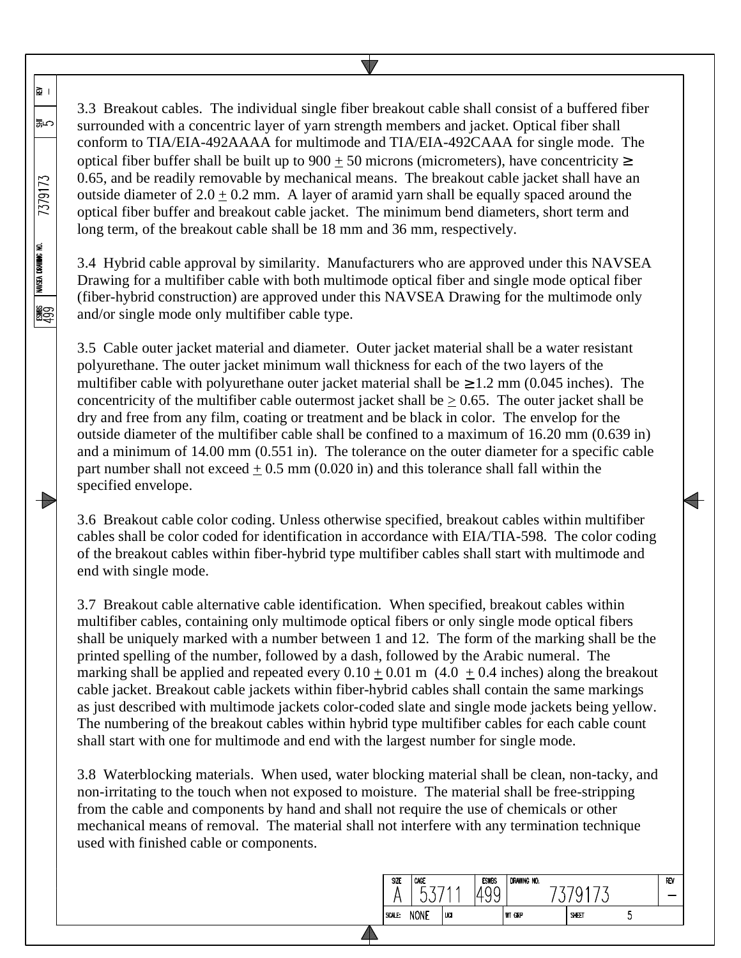3.3 Breakout cables. The individual single fiber breakout cable shall consist of a buffered fiber surrounded with a concentric layer of yarn strength members and jacket. Optical fiber shall conform to TIA/EIA-492AAAA for multimode and TIA/EIA-492CAAA for single mode. The optical fiber buffer shall be built up to  $900 \pm 50$  microns (micrometers), have concentricity  $\ge$ 0.65, and be readily removable by mechanical means. The breakout cable jacket shall have an outside diameter of  $2.0 + 0.2$  mm. A layer of aramid yarn shall be equally spaced around the optical fiber buffer and breakout cable jacket. The minimum bend diameters, short term and long term, of the breakout cable shall be 18 mm and 36 mm, respectively.

∥⊋ ।

いほ

7379173

NAVSEA DRAWING NO.

ူ<br>မူဌာ

**ISS** 

3.4 Hybrid cable approval by similarity. Manufacturers who are approved under this NAVSEA Drawing for a multifiber cable with both multimode optical fiber and single mode optical fiber (fiber-hybrid construction) are approved under this NAVSEA Drawing for the multimode only and/or single mode only multifiber cable type.

3.5 Cable outer jacket material and diameter. Outer jacket material shall be a water resistant polyurethane. The outer jacket minimum wall thickness for each of the two layers of the multifiber cable with polyurethane outer jacket material shall be  $\geq 1.2$  mm (0.045 inches). The concentricity of the multifiber cable outermost jacket shall be  $\geq 0.65$ . The outer jacket shall be dry and free from any film, coating or treatment and be black in color. The envelop for the outside diameter of the multifiber cable shall be confined to a maximum of 16.20 mm (0.639 in) and a minimum of 14.00 mm (0.551 in). The tolerance on the outer diameter for a specific cable part number shall not exceed  $\pm$  0.5 mm (0.020 in) and this tolerance shall fall within the specified envelope.

3.6 Breakout cable color coding. Unless otherwise specified, breakout cables within multifiber cables shall be color coded for identification in accordance with EIA/TIA-598. The color coding of the breakout cables within fiber-hybrid type multifiber cables shall start with multimode and end with single mode.

3.7 Breakout cable alternative cable identification. When specified, breakout cables within multifiber cables, containing only multimode optical fibers or only single mode optical fibers shall be uniquely marked with a number between 1 and 12. The form of the marking shall be the printed spelling of the number, followed by a dash, followed by the Arabic numeral. The marking shall be applied and repeated every  $0.10 \pm 0.01$  m  $(4.0 \pm 0.4$  inches) along the breakout cable jacket. Breakout cable jackets within fiber-hybrid cables shall contain the same markings as just described with multimode jackets color-coded slate and single mode jackets being yellow. The numbering of the breakout cables within hybrid type multifiber cables for each cable count shall start with one for multimode and end with the largest number for single mode.

3.8 Waterblocking materials. When used, water blocking material shall be clean, non-tacky, and non-irritating to the touch when not exposed to moisture. The material shall be free-stripping from the cable and components by hand and shall not require the use of chemicals or other mechanical means of removal. The material shall not interfere with any termination technique used with finished cable or components.

| <b>SIZE</b> | CAGE<br>∽   | A     | <b>ESWBS</b><br>ᅩ<br>∼<br>N<br>ັ | DRAWING NO.   | u     |   | REV |
|-------------|-------------|-------|----------------------------------|---------------|-------|---|-----|
| SCALE:      | <b>NONE</b> | ' UCI |                                  | <b>WT GRP</b> | SHEET | υ |     |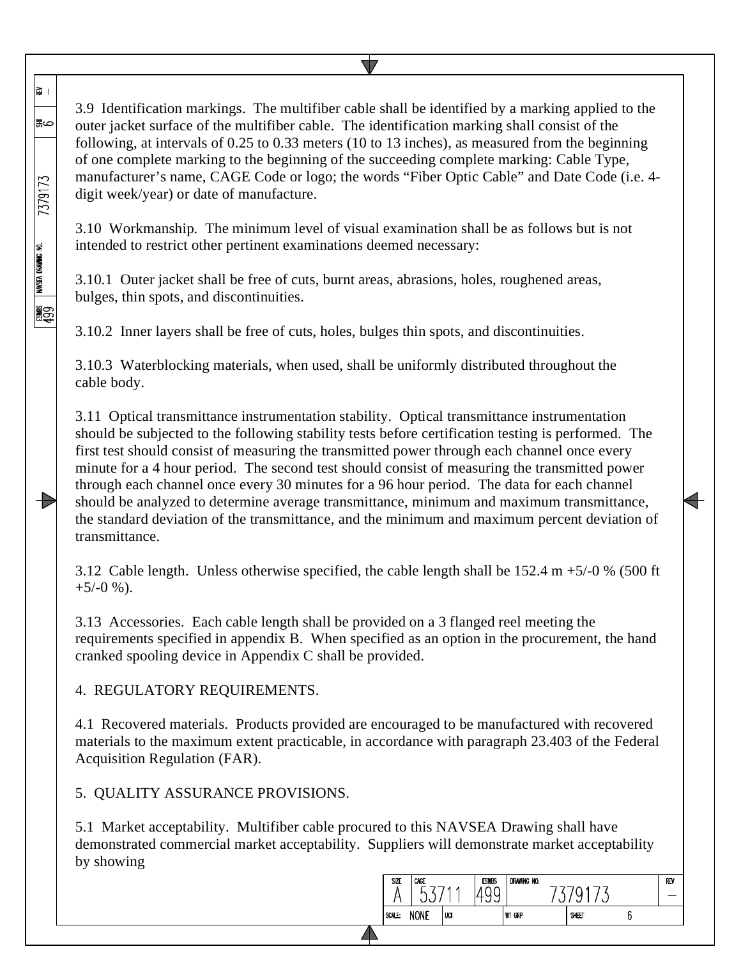3.9 Identification markings. The multifiber cable shall be identified by a marking applied to the outer jacket surface of the multifiber cable. The identification marking shall consist of the following, at intervals of 0.25 to 0.33 meters (10 to 13 inches), as measured from the beginning of one complete marking to the beginning of the succeeding complete marking: Cable Type, manufacturer's name, CAGE Code or logo; the words "Fiber Optic Cable" and Date Code (i.e. 4 digit week/year) or date of manufacture.

3.10 Workmanship. The minimum level of visual examination shall be as follows but is not intended to restrict other pertinent examinations deemed necessary:

3.10.1 Outer jacket shall be free of cuts, burnt areas, abrasions, holes, roughened areas, bulges, thin spots, and discontinuities.

3.10.2 Inner layers shall be free of cuts, holes, bulges thin spots, and discontinuities.

3.10.3 Waterblocking materials, when used, shall be uniformly distributed throughout the cable body.

3.11 Optical transmittance instrumentation stability. Optical transmittance instrumentation should be subjected to the following stability tests before certification testing is performed. The first test should consist of measuring the transmitted power through each channel once every minute for a 4 hour period. The second test should consist of measuring the transmitted power through each channel once every 30 minutes for a 96 hour period. The data for each channel should be analyzed to determine average transmittance, minimum and maximum transmittance, the standard deviation of the transmittance, and the minimum and maximum percent deviation of transmittance.

3.12 Cable length. Unless otherwise specified, the cable length shall be 152.4 m +5/-0 % (500 ft  $+5/-0$  %).

3.13 Accessories. Each cable length shall be provided on a 3 flanged reel meeting the requirements specified in appendix B. When specified as an option in the procurement, the hand cranked spooling device in Appendix C shall be provided.

4. REGULATORY REQUIREMENTS.

∥ଛ ।

⇔≌ا

7379173

eswes I wasea drawing no.<br>499

4.1 Recovered materials. Products provided are encouraged to be manufactured with recovered materials to the maximum extent practicable, in accordance with paragraph 23.403 of the Federal Acquisition Regulation (FAR).

5. QUALITY ASSURANCE PROVISIONS.

5.1 Market acceptability. Multifiber cable procured to this NAVSEA Drawing shall have demonstrated commercial market acceptability. Suppliers will demonstrate market acceptability by showing

| SIZE   | CAGE        | и   | <b>ESWBS</b> | DRAWING NO.   | ◡     | REV |
|--------|-------------|-----|--------------|---------------|-------|-----|
| SCALE: | <b>NONE</b> | UCI |              | <b>WT GRP</b> | SHEET |     |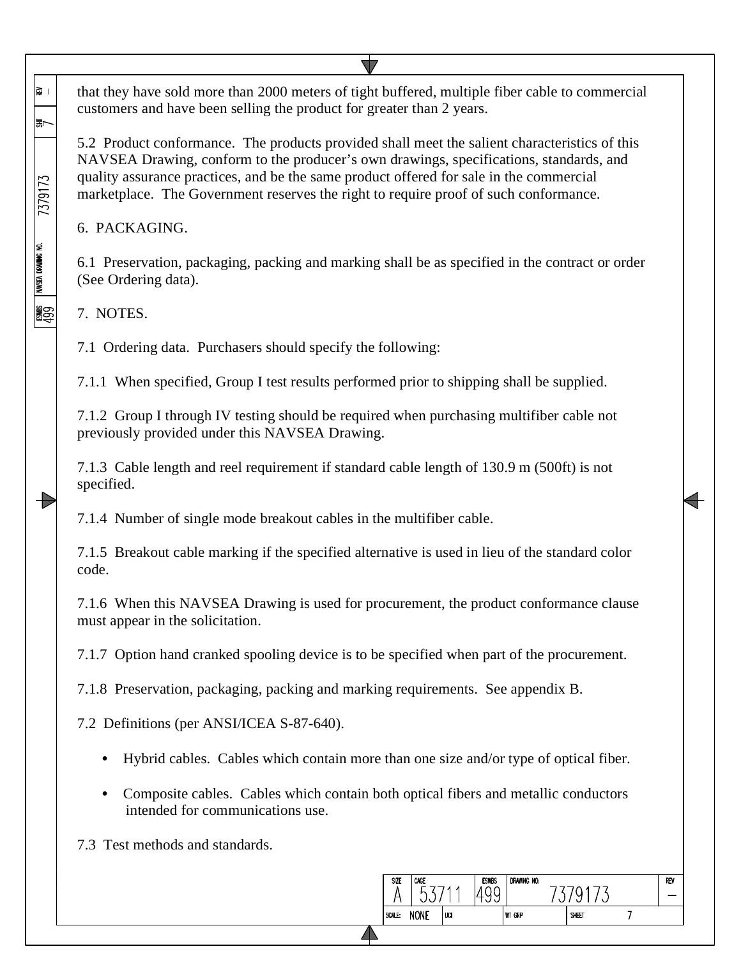that they have sold more than 2000 meters of tight buffered, multiple fiber cable to commercial ∣ छ∥ customers and have been selling the product for greater than 2 years.

5.2 Product conformance. The products provided shall meet the salient characteristics of this NAVSEA Drawing, conform to the producer's own drawings, specifications, standards, and quality assurance practices, and be the same product offered for sale in the commercial marketplace. The Government reserves the right to require proof of such conformance.

6. PACKAGING.

6.1 Preservation, packaging, packing and marking shall be as specified in the contract or order (See Ordering data).

7. NOTES.

la~

7379173

NAVSEA DRAWING NO.

 $\frac{1}{499}$ 

**ISS** 

7.1 Ordering data. Purchasers should specify the following:

7.1.1 When specified, Group I test results performed prior to shipping shall be supplied.

7.1.2 Group I through IV testing should be required when purchasing multifiber cable not previously provided under this NAVSEA Drawing.

7.1.3 Cable length and reel requirement if standard cable length of 130.9 m (500ft) is not specified.

7.1.4 Number of single mode breakout cables in the multifiber cable.

7.1.5 Breakout cable marking if the specified alternative is used in lieu of the standard color code.

7.1.6 When this NAVSEA Drawing is used for procurement, the product conformance clause must appear in the solicitation.

7.1.7 Option hand cranked spooling device is to be specified when part of the procurement.

7.1.8 Preservation, packaging, packing and marking requirements. See appendix B.

7.2 Definitions (per ANSI/ICEA S-87-640).

- Hybrid cables. Cables which contain more than one size and/or type of optical fiber.
- Composite cables. Cables which contain both optical fibers and metallic conductors intended for communications use.

SI7F CAGE

A

SCALE: NONE

53711

lua

DRAWING NO.

WT GRP

7379173

SHEET

REV

÷

 $7\overline{ }$ 

**FSWRS** 

1499

7.3 Test methods and standards.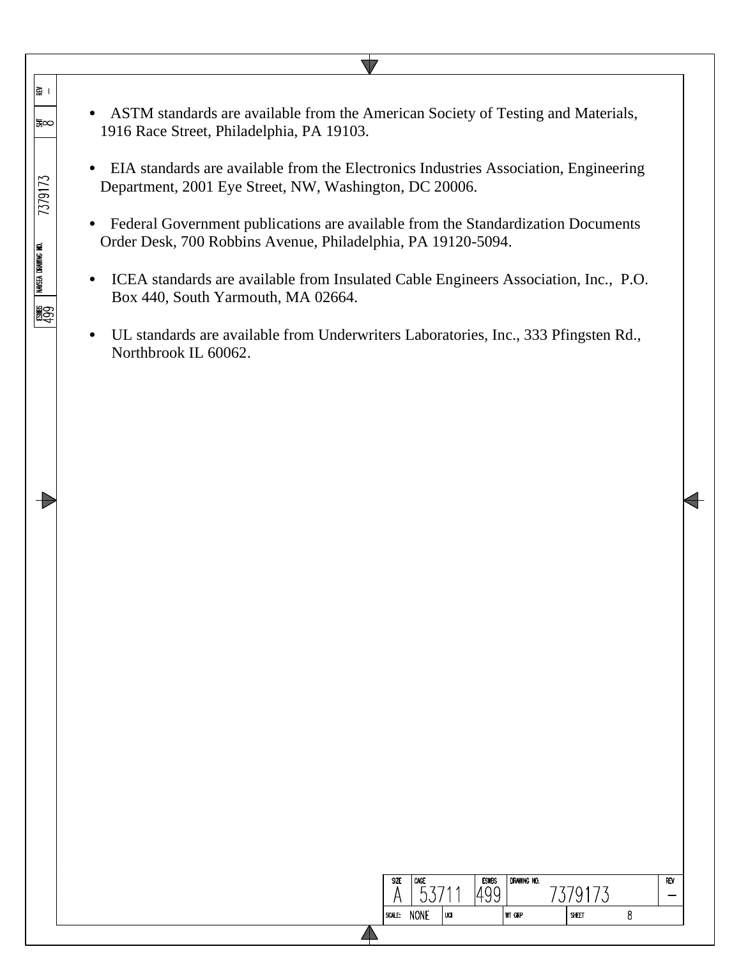$\sqrt{}$ ∥≩ । • ASTM standards are available from the American Society of Testing and Materials, |‱ 1916 Race Street, Philadelphia, PA 19103. • EIA standards are available from the Electronics Industries Association, Engineering 7379173 Department, 2001 Eye Street, NW, Washington, DC 20006. • Federal Government publications are available from the Standardization Documents Order Desk, 700 Robbins Avenue, Philadelphia, PA 19120-5094. eswes I wasea drawing no.<br>499 • ICEA standards are available from Insulated Cable Engineers Association, Inc., P.O. Box 440, South Yarmouth, MA 02664. • UL standards are available from Underwriters Laboratories, Inc., 333 Pfingsten Rd., Northbrook IL 60062.

| <b>SIZE</b> | CAGE<br>u   | A   | <b>ESWBS</b><br>v | DRAWING NO.   | ັ     | REV |
|-------------|-------------|-----|-------------------|---------------|-------|-----|
| SCALE:      | <b>NONE</b> | UCI |                   | <b>WT GRP</b> | SHEET |     |
|             |             |     |                   |               |       |     |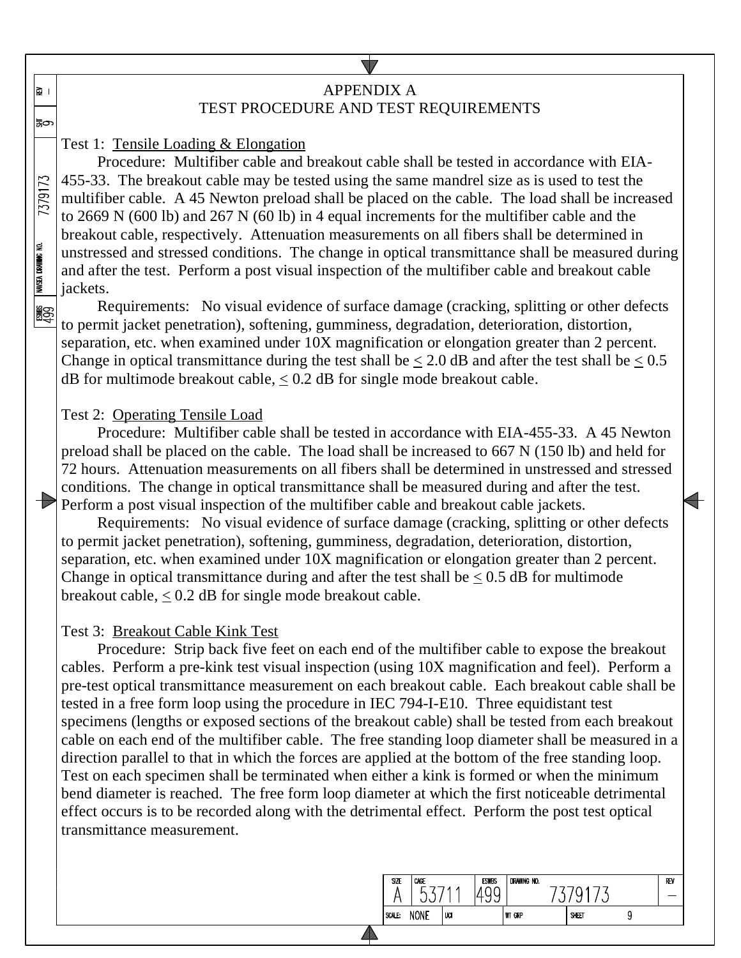## APPENDIX A TEST PROCEDURE AND TEST REQUIREMENTS

Test 1: Tensile Loading & Elongation

∣ ⊠

⊫ಸ

7379173

NAVSEA DRAWING NO.

**ESP** 

Procedure: Multifiber cable and breakout cable shall be tested in accordance with EIA-455-33. The breakout cable may be tested using the same mandrel size as is used to test the multifiber cable. A 45 Newton preload shall be placed on the cable. The load shall be increased to 2669 N (600 lb) and 267 N (60 lb) in 4 equal increments for the multifiber cable and the breakout cable, respectively. Attenuation measurements on all fibers shall be determined in unstressed and stressed conditions. The change in optical transmittance shall be measured during and after the test. Perform a post visual inspection of the multifiber cable and breakout cable jackets.

Requirements: No visual evidence of surface damage (cracking, splitting or other defects to permit jacket penetration), softening, gumminess, degradation, deterioration, distortion, separation, etc. when examined under 10X magnification or elongation greater than 2 percent. Change in optical transmittance during the test shall be  $\lt 2.0$  dB and after the test shall be  $\lt 0.5$ dB for multimode breakout cable,  $\leq 0.2$  dB for single mode breakout cable.

### Test 2: Operating Tensile Load

Procedure: Multifiber cable shall be tested in accordance with EIA-455-33. A 45 Newton preload shall be placed on the cable. The load shall be increased to 667 N (150 lb) and held for 72 hours. Attenuation measurements on all fibers shall be determined in unstressed and stressed conditions. The change in optical transmittance shall be measured during and after the test. Perform a post visual inspection of the multifiber cable and breakout cable jackets.

Requirements: No visual evidence of surface damage (cracking, splitting or other defects to permit jacket penetration), softening, gumminess, degradation, deterioration, distortion, separation, etc. when examined under 10X magnification or elongation greater than 2 percent. Change in optical transmittance during and after the test shall be  $\leq 0.5$  dB for multimode breakout cable, < 0.2 dB for single mode breakout cable.

### Test 3: Breakout Cable Kink Test

Procedure: Strip back five feet on each end of the multifiber cable to expose the breakout cables. Perform a pre-kink test visual inspection (using 10X magnification and feel). Perform a pre-test optical transmittance measurement on each breakout cable. Each breakout cable shall be tested in a free form loop using the procedure in IEC 794-I-E10. Three equidistant test specimens (lengths or exposed sections of the breakout cable) shall be tested from each breakout cable on each end of the multifiber cable. The free standing loop diameter shall be measured in a direction parallel to that in which the forces are applied at the bottom of the free standing loop. Test on each specimen shall be terminated when either a kink is formed or when the minimum bend diameter is reached. The free form loop diameter at which the first noticeable detrimental effect occurs is to be recorded along with the detrimental effect. Perform the post test optical transmittance measurement.

| SZE    | CAGE<br>∽   |     | <b>ESWBS</b><br>ىد | DRAWING NO.   |       |  | REV |
|--------|-------------|-----|--------------------|---------------|-------|--|-----|
| SCALE: | <b>NONE</b> | UCI |                    | <b>WT GRP</b> | SHEET |  |     |
|        |             |     |                    |               |       |  |     |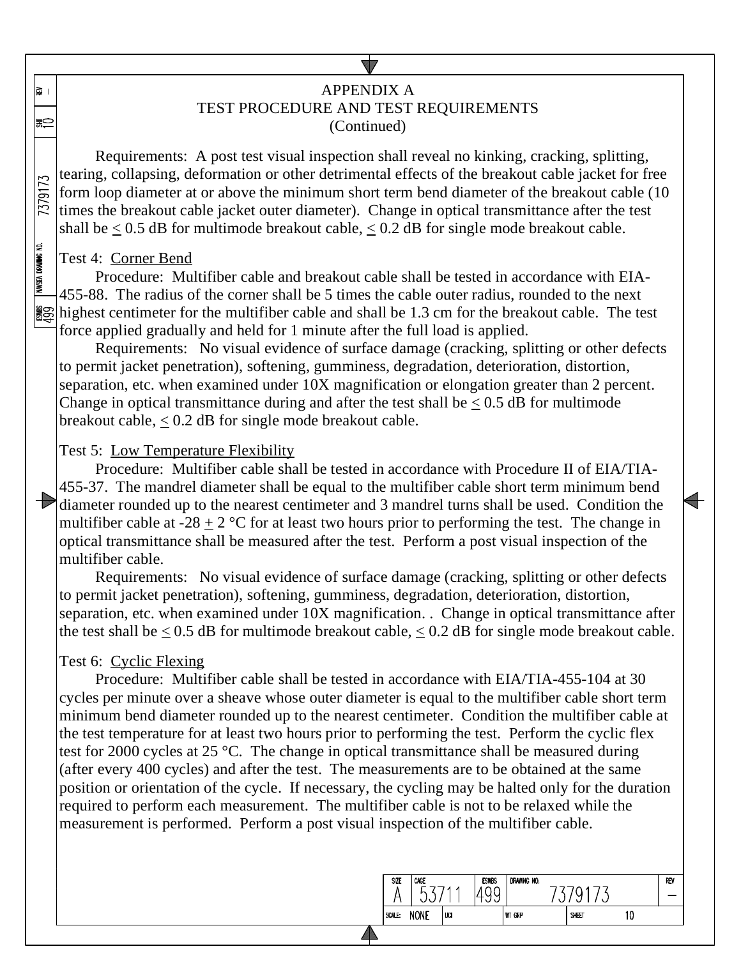## APPENDIX A TEST PROCEDURE AND TEST REQUIREMENTS (Continued)

Requirements: A post test visual inspection shall reveal no kinking, cracking, splitting, tearing, collapsing, deformation or other detrimental effects of the breakout cable jacket for free 7379173 form loop diameter at or above the minimum short term bend diameter of the breakout cable (10 times the breakout cable jacket outer diameter). Change in optical transmittance after the test shall be  $\leq 0.5$  dB for multimode breakout cable,  $\leq 0.2$  dB for single mode breakout cable.

### Test 4: Corner Bend

∣ ⊠

≅

**NAVSEA DRAWING ND.** 

Procedure: Multifiber cable and breakout cable shall be tested in accordance with EIA-455-88. The radius of the corner shall be 5 times the cable outer radius, rounded to the next highest centimeter for the multifiber cable and shall be 1.3 cm for the breakout cable. The test force applied gradually and held for 1 minute after the full load is applied.

Requirements: No visual evidence of surface damage (cracking, splitting or other defects to permit jacket penetration), softening, gumminess, degradation, deterioration, distortion, separation, etc. when examined under 10X magnification or elongation greater than 2 percent. Change in optical transmittance during and after the test shall be  $\leq 0.5$  dB for multimode breakout cable,  $\leq 0.2$  dB for single mode breakout cable.

## Test 5: Low Temperature Flexibility

Procedure: Multifiber cable shall be tested in accordance with Procedure II of EIA/TIA-455-37. The mandrel diameter shall be equal to the multifiber cable short term minimum bend diameter rounded up to the nearest centimeter and 3 mandrel turns shall be used. Condition the multifiber cable at -28  $\pm$  2 °C for at least two hours prior to performing the test. The change in optical transmittance shall be measured after the test. Perform a post visual inspection of the multifiber cable.

Requirements: No visual evidence of surface damage (cracking, splitting or other defects to permit jacket penetration), softening, gumminess, degradation, deterioration, distortion, separation, etc. when examined under 10X magnification. . Change in optical transmittance after the test shall be  $\leq 0.5$  dB for multimode breakout cable,  $\leq 0.2$  dB for single mode breakout cable.

## Test 6: Cyclic Flexing

Procedure: Multifiber cable shall be tested in accordance with EIA/TIA-455-104 at 30 cycles per minute over a sheave whose outer diameter is equal to the multifiber cable short term minimum bend diameter rounded up to the nearest centimeter. Condition the multifiber cable at the test temperature for at least two hours prior to performing the test. Perform the cyclic flex test for 2000 cycles at 25 °C. The change in optical transmittance shall be measured during (after every 400 cycles) and after the test. The measurements are to be obtained at the same position or orientation of the cycle. If necessary, the cycling may be halted only for the duration required to perform each measurement. The multifiber cable is not to be relaxed while the measurement is performed. Perform a post visual inspection of the multifiber cable.

| SIZE   | CAGE<br>∽   |     | <b>ESWBS</b><br>╰ | DRAWING NO.   | v     |    | REV |
|--------|-------------|-----|-------------------|---------------|-------|----|-----|
| SCALE: | <b>NONE</b> | UCI |                   | <b>WT GRP</b> | SHEET | 10 |     |
|        |             |     |                   |               |       |    |     |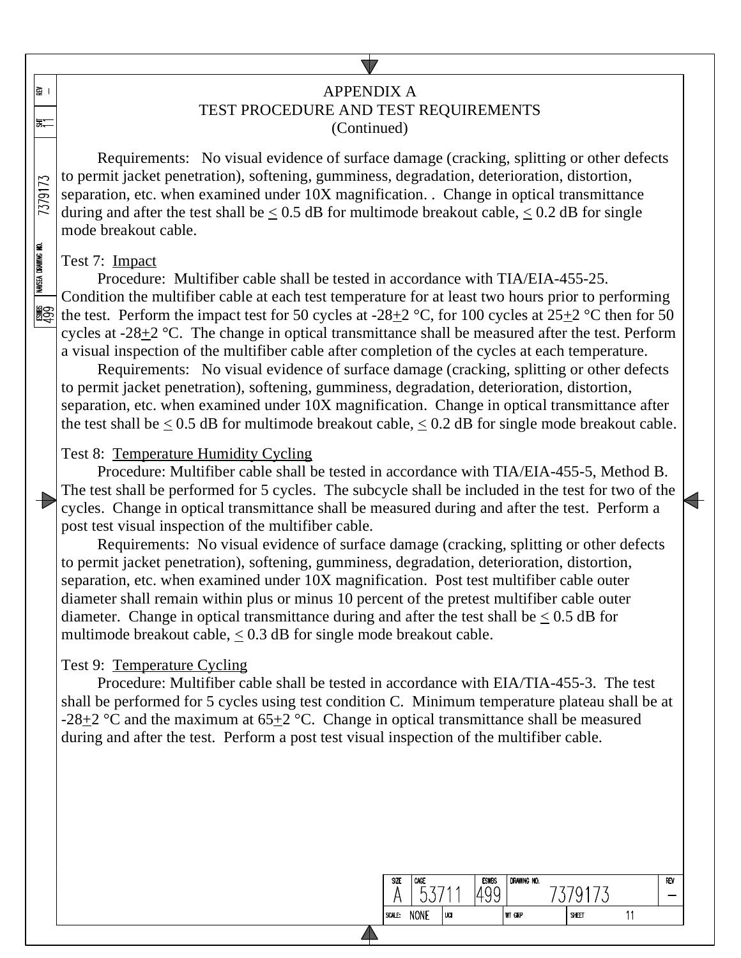## APPENDIX A

# TEST PROCEDURE AND TEST REQUIREMENTS

(Continued)

Requirements: No visual evidence of surface damage (cracking, splitting or other defects to permit jacket penetration), softening, gumminess, degradation, deterioration, distortion, separation, etc. when examined under 10X magnification. . Change in optical transmittance during and after the test shall be  $\leq 0.5$  dB for multimode breakout cable,  $\leq 0.2$  dB for single mode breakout cable.

### Test 7: Impact

∥≩ ।

三

7379173

NAVSEA DRAWING NO.

Procedure: Multifiber cable shall be tested in accordance with TIA/EIA-455-25. Condition the multifiber cable at each test temperature for at least two hours prior to performing 圞 the test. Perform the impact test for 50 cycles at  $-28+2$  °C, for 100 cycles at  $25+2$  °C then for 50 cycles at -28+2 °C. The change in optical transmittance shall be measured after the test. Perform a visual inspection of the multifiber cable after completion of the cycles at each temperature.

Requirements: No visual evidence of surface damage (cracking, splitting or other defects to permit jacket penetration), softening, gumminess, degradation, deterioration, distortion, separation, etc. when examined under 10X magnification. Change in optical transmittance after the test shall be  $\leq 0.5$  dB for multimode breakout cable,  $\leq 0.2$  dB for single mode breakout cable.

### Test 8: Temperature Humidity Cycling

Procedure: Multifiber cable shall be tested in accordance with TIA/EIA-455-5, Method B. The test shall be performed for 5 cycles. The subcycle shall be included in the test for two of the cycles. Change in optical transmittance shall be measured during and after the test. Perform a post test visual inspection of the multifiber cable.

Requirements: No visual evidence of surface damage (cracking, splitting or other defects to permit jacket penetration), softening, gumminess, degradation, deterioration, distortion, separation, etc. when examined under 10X magnification. Post test multifiber cable outer diameter shall remain within plus or minus 10 percent of the pretest multifiber cable outer diameter. Change in optical transmittance during and after the test shall be  $\leq 0.5$  dB for multimode breakout cable,  $\leq 0.3$  dB for single mode breakout cable.

### Test 9: Temperature Cycling

Procedure: Multifiber cable shall be tested in accordance with EIA/TIA-455-3. The test shall be performed for 5 cycles using test condition C. Minimum temperature plateau shall be at -28 $\pm$ 2 °C and the maximum at 65 $\pm$ 2 °C. Change in optical transmittance shall be measured during and after the test. Perform a post test visual inspection of the multifiber cable.

> SI7F CAGE

A

SCALE: NONE

53711

luar

DRAWING NO.

**WT GRP** 

7379173

SHEET

REV

÷

 $11$ 

**FSWRS** 

1499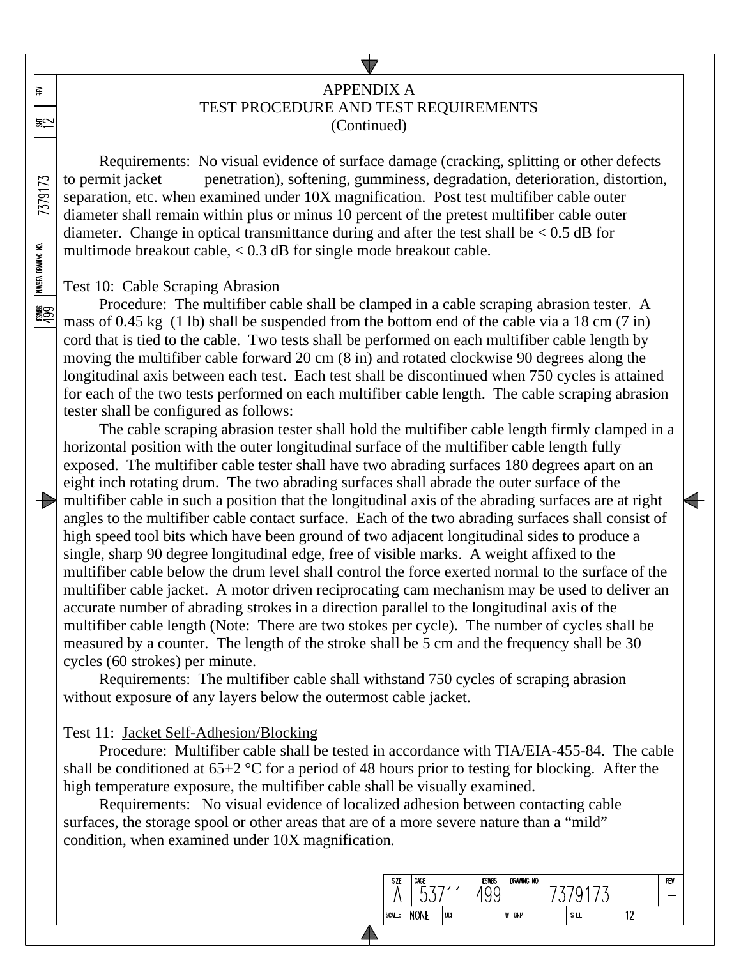## APPENDIX A TEST PROCEDURE AND TEST REQUIREMENTS (Continued)

Requirements: No visual evidence of surface damage (cracking, splitting or other defects to permit jacket penetration), softening, gumminess, degradation, deterioration, distortion, separation, etc. when examined under 10X magnification. Post test multifiber cable outer diameter shall remain within plus or minus 10 percent of the pretest multifiber cable outer diameter. Change in optical transmittance during and after the test shall be  $\leq 0.5$  dB for multimode breakout cable,  $\leq 0.3$  dB for single mode breakout cable.

### Test 10: Cable Scraping Abrasion

∥≩ ।

凯

7379173

NAVSEA DRAWING NO.

**ASS** 

Procedure: The multifiber cable shall be clamped in a cable scraping abrasion tester. A mass of 0.45 kg (1 lb) shall be suspended from the bottom end of the cable via a 18 cm (7 in) cord that is tied to the cable. Two tests shall be performed on each multifiber cable length by moving the multifiber cable forward 20 cm (8 in) and rotated clockwise 90 degrees along the longitudinal axis between each test. Each test shall be discontinued when 750 cycles is attained for each of the two tests performed on each multifiber cable length. The cable scraping abrasion tester shall be configured as follows:

The cable scraping abrasion tester shall hold the multifiber cable length firmly clamped in a horizontal position with the outer longitudinal surface of the multifiber cable length fully exposed. The multifiber cable tester shall have two abrading surfaces 180 degrees apart on an eight inch rotating drum. The two abrading surfaces shall abrade the outer surface of the  $\rightarrow$  multifiber cable in such a position that the longitudinal axis of the abrading surfaces are at right angles to the multifiber cable contact surface. Each of the two abrading surfaces shall consist of high speed tool bits which have been ground of two adjacent longitudinal sides to produce a single, sharp 90 degree longitudinal edge, free of visible marks. A weight affixed to the multifiber cable below the drum level shall control the force exerted normal to the surface of the multifiber cable jacket. A motor driven reciprocating cam mechanism may be used to deliver an accurate number of abrading strokes in a direction parallel to the longitudinal axis of the multifiber cable length (Note: There are two stokes per cycle). The number of cycles shall be measured by a counter. The length of the stroke shall be 5 cm and the frequency shall be 30 cycles (60 strokes) per minute.

Requirements: The multifiber cable shall withstand 750 cycles of scraping abrasion without exposure of any layers below the outermost cable jacket.

### Test 11: Jacket Self-Adhesion/Blocking

Procedure: Multifiber cable shall be tested in accordance with TIA/EIA-455-84. The cable shall be conditioned at  $65+2$  °C for a period of 48 hours prior to testing for blocking. After the high temperature exposure, the multifiber cable shall be visually examined.

Requirements: No visual evidence of localized adhesion between contacting cable surfaces, the storage spool or other areas that are of a more severe nature than a "mild" condition, when examined under 10X magnification.

|        | ∽    | <b>LL</b><br>N<br>ັ |               | u     |     |  |
|--------|------|---------------------|---------------|-------|-----|--|
| SCALE: | NONE | UCI                 | <b>WT GRP</b> | SHEET | 1 ባ |  |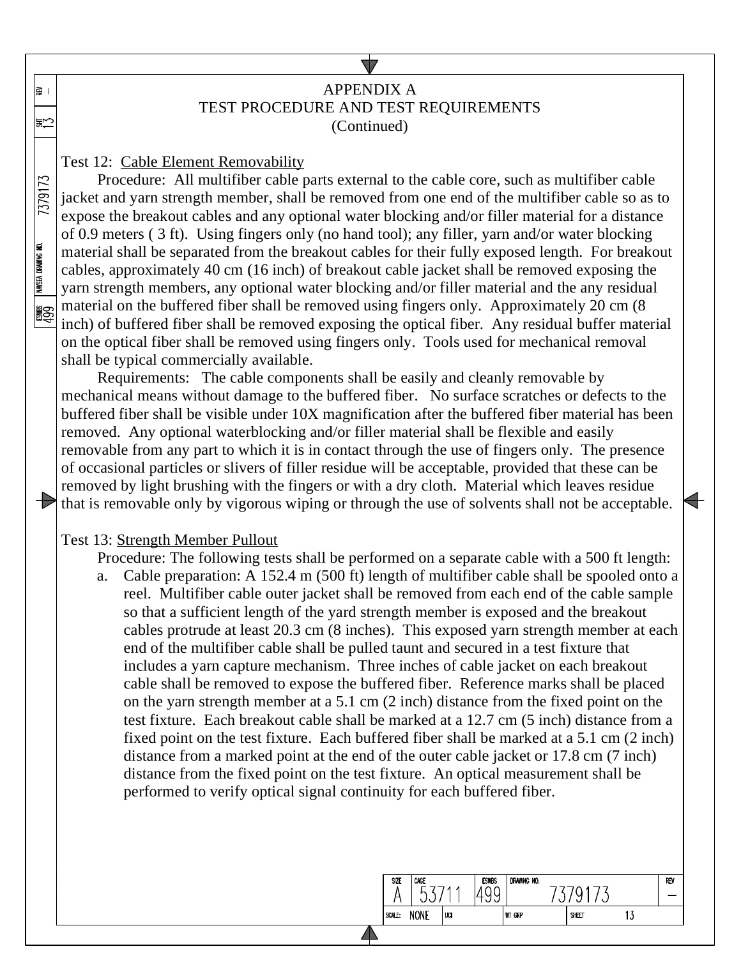## APPENDIX A TEST PROCEDURE AND TEST REQUIREMENTS (Continued)

Test 12: Cable Element Removability

∥≩ ।

咒

7379173

NAVSEA DRAWING NO.

Procedure: All multifiber cable parts external to the cable core, such as multifiber cable jacket and yarn strength member, shall be removed from one end of the multifiber cable so as to expose the breakout cables and any optional water blocking and/or filler material for a distance of 0.9 meters ( 3 ft). Using fingers only (no hand tool); any filler, yarn and/or water blocking material shall be separated from the breakout cables for their fully exposed length. For breakout cables, approximately 40 cm (16 inch) of breakout cable jacket shall be removed exposing the yarn strength members, any optional water blocking and/or filler material and the any residual material on the buffered fiber shall be removed using fingers only. Approximately 20 cm (8 鹠 inch) of buffered fiber shall be removed exposing the optical fiber. Any residual buffer material on the optical fiber shall be removed using fingers only. Tools used for mechanical removal shall be typical commercially available.

Requirements: The cable components shall be easily and cleanly removable by mechanical means without damage to the buffered fiber. No surface scratches or defects to the buffered fiber shall be visible under 10X magnification after the buffered fiber material has been removed. Any optional waterblocking and/or filler material shall be flexible and easily removable from any part to which it is in contact through the use of fingers only. The presence of occasional particles or slivers of filler residue will be acceptable, provided that these can be removed by light brushing with the fingers or with a dry cloth. Material which leaves residue that is removable only by vigorous wiping or through the use of solvents shall not be acceptable.

### Test 13: Strength Member Pullout

Procedure: The following tests shall be performed on a separate cable with a 500 ft length:

a. Cable preparation: A 152.4 m (500 ft) length of multifiber cable shall be spooled onto a reel. Multifiber cable outer jacket shall be removed from each end of the cable sample so that a sufficient length of the yard strength member is exposed and the breakout cables protrude at least 20.3 cm (8 inches). This exposed yarn strength member at each end of the multifiber cable shall be pulled taunt and secured in a test fixture that includes a yarn capture mechanism. Three inches of cable jacket on each breakout cable shall be removed to expose the buffered fiber. Reference marks shall be placed on the yarn strength member at a 5.1 cm (2 inch) distance from the fixed point on the test fixture. Each breakout cable shall be marked at a 12.7 cm (5 inch) distance from a fixed point on the test fixture. Each buffered fiber shall be marked at a 5.1 cm (2 inch) distance from a marked point at the end of the outer cable jacket or 17.8 cm (7 inch) distance from the fixed point on the test fixture. An optical measurement shall be performed to verify optical signal continuity for each buffered fiber.

|        |             |      | ட<br>◡<br>ັ |               | ∿     |     |  |
|--------|-------------|------|-------------|---------------|-------|-----|--|
| SCALE: | <b>NONE</b> | 'uci |             | <b>WT GRP</b> | SHEET | ں ا |  |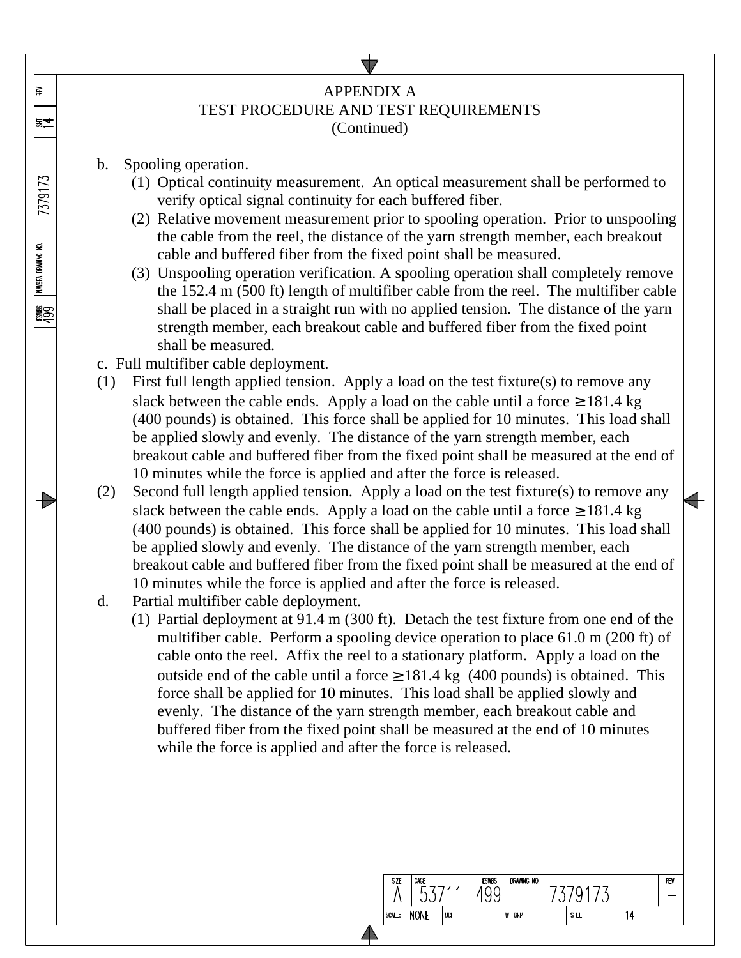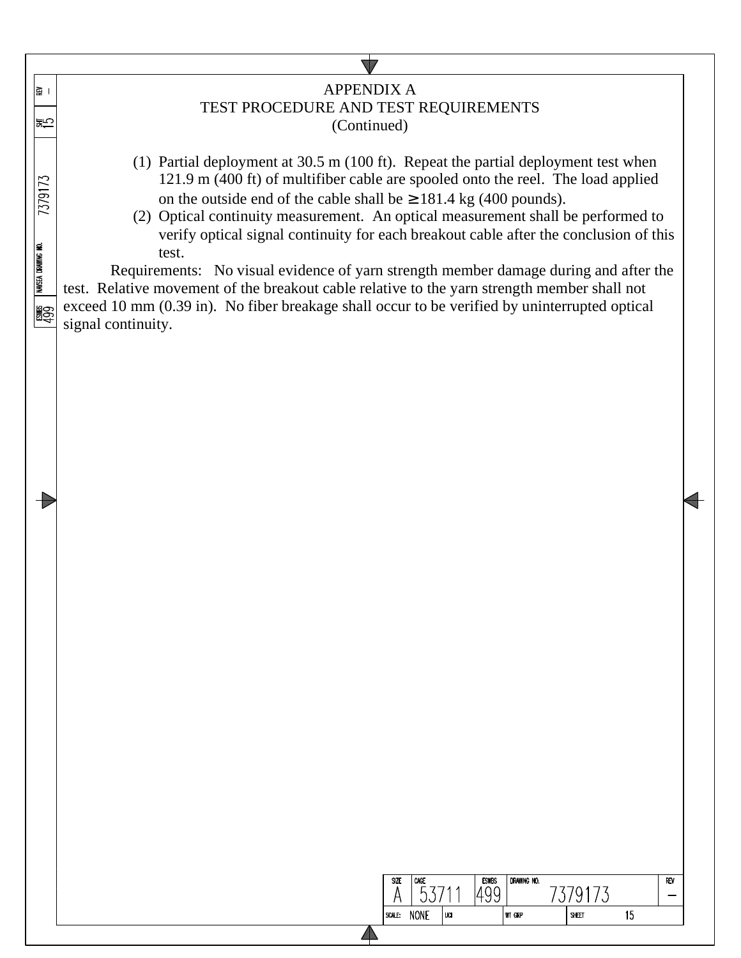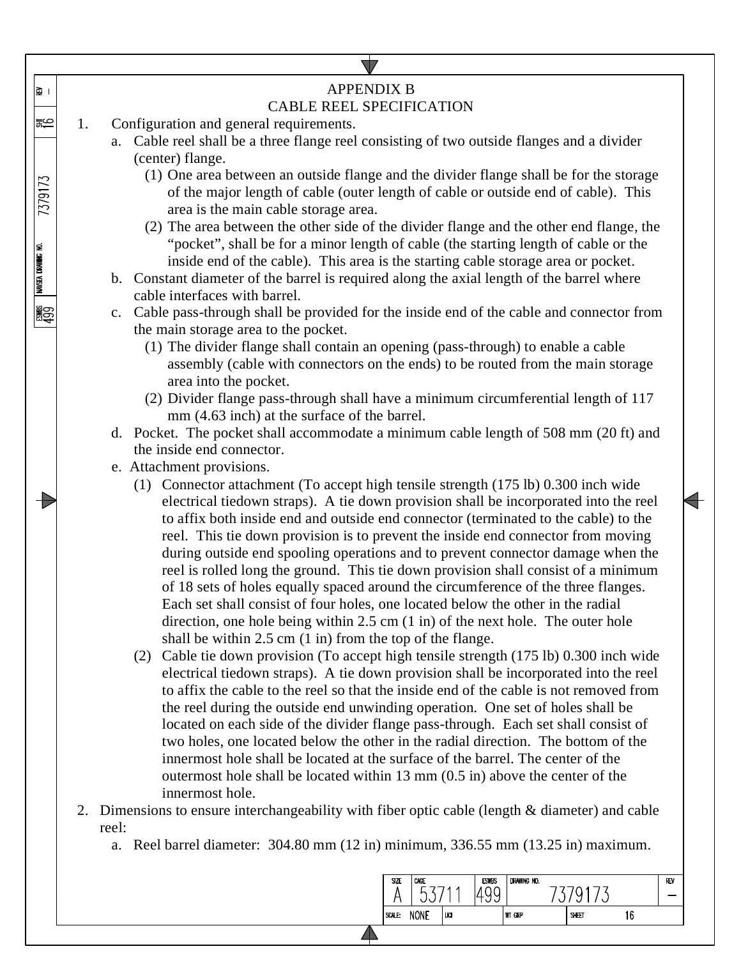

| SIZE | CAGE        |     | <b>ESWBS</b> | DRAWING NO.   | ∽ |       | R٨ |
|------|-------------|-----|--------------|---------------|---|-------|----|
| ALE: | <b>NONE</b> | UCI |              | <b>WT GRP</b> |   | SHEET |    |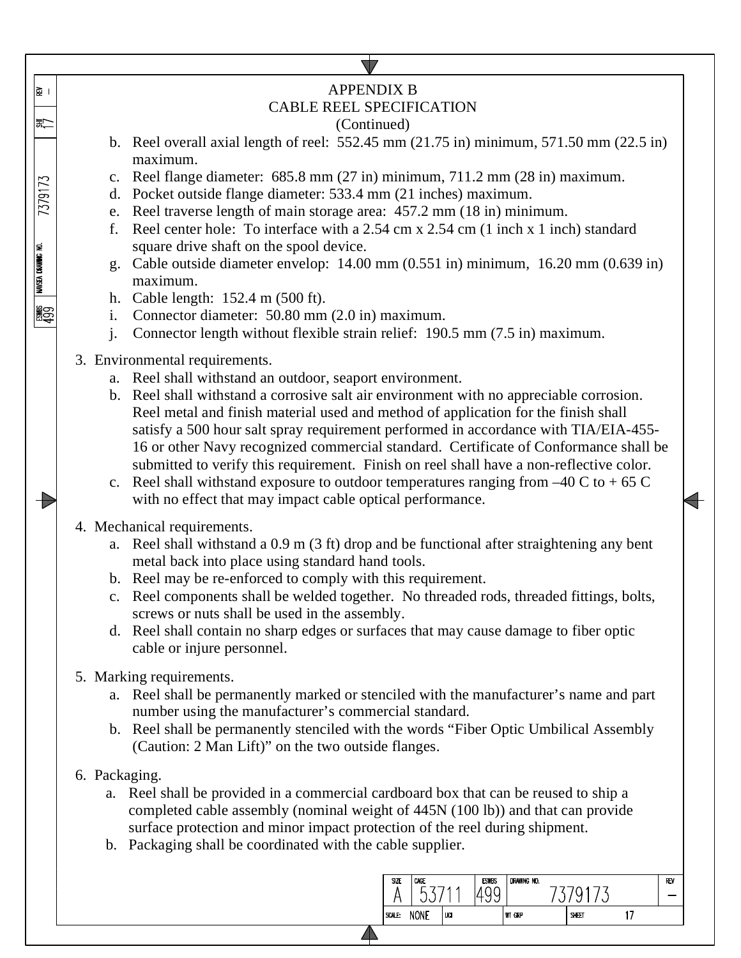| । ⊊ <br>(동                                  | <b>APPENDIX B</b><br><b>CABLE REEL SPECIFICATION</b><br>(Continued)                                                                                                                                                                                                                                                                                                                                                                                                                                                                                                                                                                                                                                                                                                                                                       |  |  |  |  |  |  |  |  |
|---------------------------------------------|---------------------------------------------------------------------------------------------------------------------------------------------------------------------------------------------------------------------------------------------------------------------------------------------------------------------------------------------------------------------------------------------------------------------------------------------------------------------------------------------------------------------------------------------------------------------------------------------------------------------------------------------------------------------------------------------------------------------------------------------------------------------------------------------------------------------------|--|--|--|--|--|--|--|--|
| 7379173<br>NAVSEA DRAWING NO.<br><b>ASS</b> | b. Reel overall axial length of reel: $552.45$ mm (21.75 in) minimum, $571.50$ mm (22.5 in)<br>maximum.<br>c. Reel flange diameter: 685.8 mm (27 in) minimum, 711.2 mm (28 in) maximum.<br>d. Pocket outside flange diameter: 533.4 mm (21 inches) maximum.<br>e. Reel traverse length of main storage area: 457.2 mm (18 in) minimum.<br>Reel center hole: To interface with a 2.54 cm x 2.54 cm (1 inch x 1 inch) standard<br>f.<br>square drive shaft on the spool device.<br>Cable outside diameter envelop: $14.00 \text{ mm}$ (0.551 in) minimum, $16.20 \text{ mm}$ (0.639 in)<br>g.<br>maximum.<br>h. Cable length: $152.4 \text{ m} (500 \text{ ft})$ .<br>Connector diameter: 50.80 mm (2.0 in) maximum.<br>i.<br>Connector length without flexible strain relief: 190.5 mm (7.5 in) maximum.<br>$\mathbf{i}$ . |  |  |  |  |  |  |  |  |
|                                             | 3. Environmental requirements.<br>a. Reel shall withstand an outdoor, seaport environment.<br>b. Reel shall withstand a corrosive salt air environment with no appreciable corrosion.<br>Reel metal and finish material used and method of application for the finish shall<br>satisfy a 500 hour salt spray requirement performed in accordance with TIA/EIA-455-<br>16 or other Navy recognized commercial standard. Certificate of Conformance shall be<br>submitted to verify this requirement. Finish on reel shall have a non-reflective color.<br>Reel shall withstand exposure to outdoor temperatures ranging from $-40$ C to + 65 C<br>$\mathbf{c}$ .<br>with no effect that may impact cable optical performance.                                                                                              |  |  |  |  |  |  |  |  |
|                                             | 4. Mechanical requirements.<br>a. Reel shall withstand a 0.9 m (3 ft) drop and be functional after straightening any bent<br>metal back into place using standard hand tools.<br>b. Reel may be re-enforced to comply with this requirement.<br>c. Reel components shall be welded together. No threaded rods, threaded fittings, bolts,<br>screws or nuts shall be used in the assembly.<br>d. Reel shall contain no sharp edges or surfaces that may cause damage to fiber optic<br>cable or injure personnel.                                                                                                                                                                                                                                                                                                          |  |  |  |  |  |  |  |  |
|                                             | 5. Marking requirements.<br>a. Reel shall be permanently marked or stenciled with the manufacturer's name and part<br>number using the manufacturer's commercial standard.<br>b. Reel shall be permanently stenciled with the words "Fiber Optic Umbilical Assembly<br>(Caution: 2 Man Lift)" on the two outside flanges.                                                                                                                                                                                                                                                                                                                                                                                                                                                                                                 |  |  |  |  |  |  |  |  |
|                                             | 6. Packaging.<br>a. Reel shall be provided in a commercial cardboard box that can be reused to ship a<br>completed cable assembly (nominal weight of 445N (100 lb)) and that can provide<br>surface protection and minor impact protection of the reel during shipment.<br>b. Packaging shall be coordinated with the cable supplier.                                                                                                                                                                                                                                                                                                                                                                                                                                                                                     |  |  |  |  |  |  |  |  |
|                                             | CAGE<br><b>ESWBS</b><br>DRAWING NO.<br><b>REV</b><br>SZE<br> 499<br>53711<br>7379173<br>SCALE: NONE<br> ua<br><b>WT GRP</b><br>SHEET<br>17                                                                                                                                                                                                                                                                                                                                                                                                                                                                                                                                                                                                                                                                                |  |  |  |  |  |  |  |  |

 $\blacktriangle$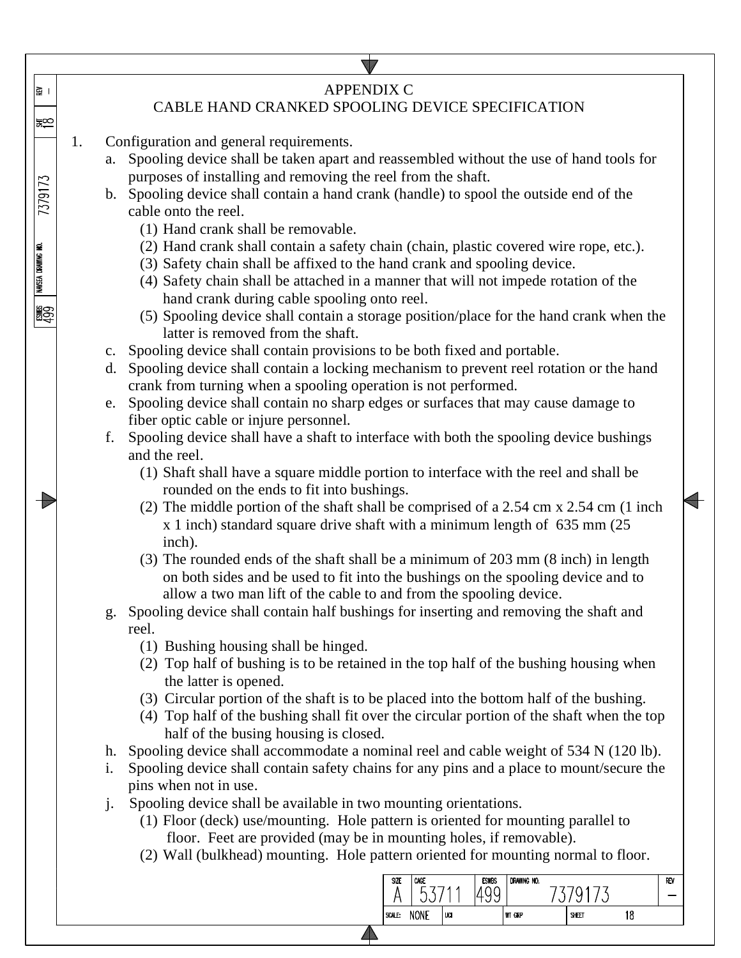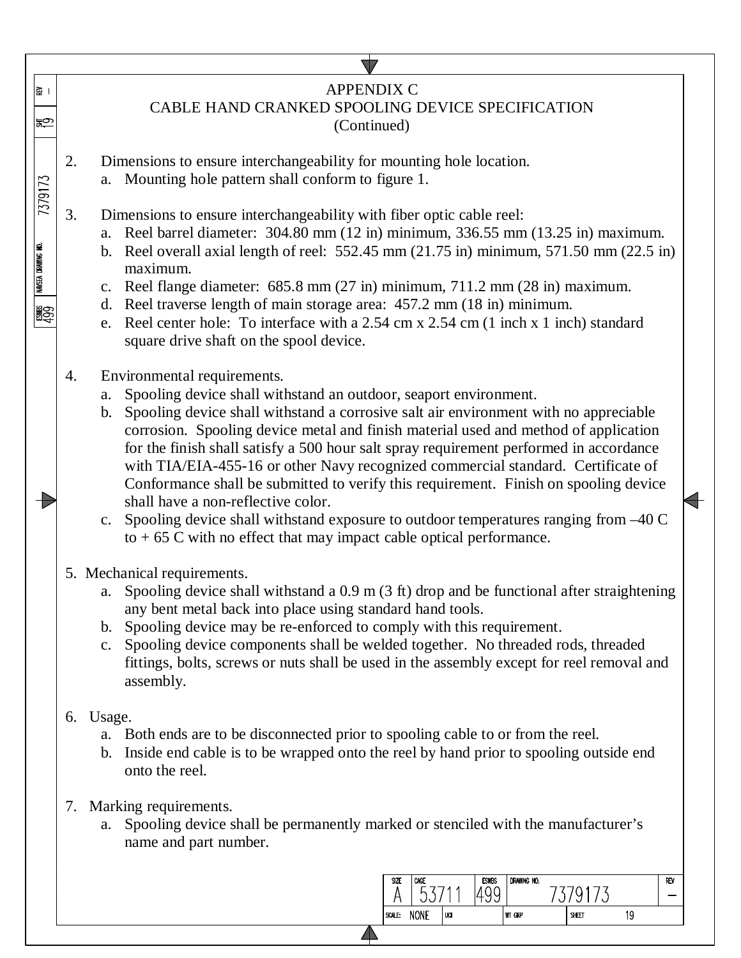| । ⊊ <br>$\mathbb{R}^{\infty}_{+}$ |                                                                                                                                             | <b>APPENDIX C</b><br>CABLE HAND CRANKED SPOOLING DEVICE SPECIFICATION<br>(Continued)                                                                                                                                                                                                                                                                                                                                                                                                                                                                                                                                                                                                                                                                                  |  |  |  |  |  |  |  |  |  |  |  |
|-----------------------------------|---------------------------------------------------------------------------------------------------------------------------------------------|-----------------------------------------------------------------------------------------------------------------------------------------------------------------------------------------------------------------------------------------------------------------------------------------------------------------------------------------------------------------------------------------------------------------------------------------------------------------------------------------------------------------------------------------------------------------------------------------------------------------------------------------------------------------------------------------------------------------------------------------------------------------------|--|--|--|--|--|--|--|--|--|--|--|
| 7379173                           | 2.                                                                                                                                          | Dimensions to ensure interchangeability for mounting hole location.<br>a. Mounting hole pattern shall conform to figure 1.                                                                                                                                                                                                                                                                                                                                                                                                                                                                                                                                                                                                                                            |  |  |  |  |  |  |  |  |  |  |  |
| NAVSEA DRAWING NO.<br><b>BW3</b>  | 3.                                                                                                                                          | Dimensions to ensure interchangeability with fiber optic cable reel:<br>a. Reel barrel diameter: 304.80 mm (12 in) minimum, 336.55 mm (13.25 in) maximum.<br>b. Reel overall axial length of reel: $552.45$ mm (21.75 in) minimum, $571.50$ mm (22.5 in)<br>maximum.<br>c. Reel flange diameter: 685.8 mm (27 in) minimum, 711.2 mm (28 in) maximum.<br>Reel traverse length of main storage area: 457.2 mm (18 in) minimum.<br>d.<br>e. Reel center hole: To interface with a 2.54 cm x 2.54 cm (1 inch x 1 inch) standard<br>square drive shaft on the spool device.                                                                                                                                                                                                |  |  |  |  |  |  |  |  |  |  |  |
|                                   | 4.                                                                                                                                          | Environmental requirements.<br>Spooling device shall withstand an outdoor, seaport environment.<br>a.<br>b. Spooling device shall withstand a corrosive salt air environment with no appreciable<br>corrosion. Spooling device metal and finish material used and method of application<br>for the finish shall satisfy a 500 hour salt spray requirement performed in accordance<br>with TIA/EIA-455-16 or other Navy recognized commercial standard. Certificate of<br>Conformance shall be submitted to verify this requirement. Finish on spooling device<br>shall have a non-reflective color.<br>c. Spooling device shall withstand exposure to outdoor temperatures ranging from -40 C<br>to $+65$ C with no effect that may impact cable optical performance. |  |  |  |  |  |  |  |  |  |  |  |
|                                   |                                                                                                                                             | 5. Mechanical requirements.<br>a. Spooling device shall withstand a 0.9 m (3 ft) drop and be functional after straightening<br>any bent metal back into place using standard hand tools.<br>Spooling device may be re-enforced to comply with this requirement.<br>b.<br>Spooling device components shall be welded together. No threaded rods, threaded<br>c.<br>fittings, bolts, screws or nuts shall be used in the assembly except for reel removal and<br>assembly.                                                                                                                                                                                                                                                                                              |  |  |  |  |  |  |  |  |  |  |  |
|                                   | 6.                                                                                                                                          | Usage.<br>Both ends are to be disconnected prior to spooling cable to or from the reel.<br>a.<br>Inside end cable is to be wrapped onto the reel by hand prior to spooling outside end<br>b.<br>onto the reel.                                                                                                                                                                                                                                                                                                                                                                                                                                                                                                                                                        |  |  |  |  |  |  |  |  |  |  |  |
|                                   | Marking requirements.<br>7.<br>a. Spooling device shall be permanently marked or stenciled with the manufacturer's<br>name and part number. |                                                                                                                                                                                                                                                                                                                                                                                                                                                                                                                                                                                                                                                                                                                                                                       |  |  |  |  |  |  |  |  |  |  |  |
|                                   |                                                                                                                                             | <b>ESWBS</b><br>DRAWING NO.<br>SIZE<br>CAGE<br>RFV<br>1499<br>7379173<br>53/<br>A<br>SCALE: NONE<br>$ u$ ca<br><b>WT GRP</b><br>19<br>SHEET                                                                                                                                                                                                                                                                                                                                                                                                                                                                                                                                                                                                                           |  |  |  |  |  |  |  |  |  |  |  |

 $\blacktriangle$